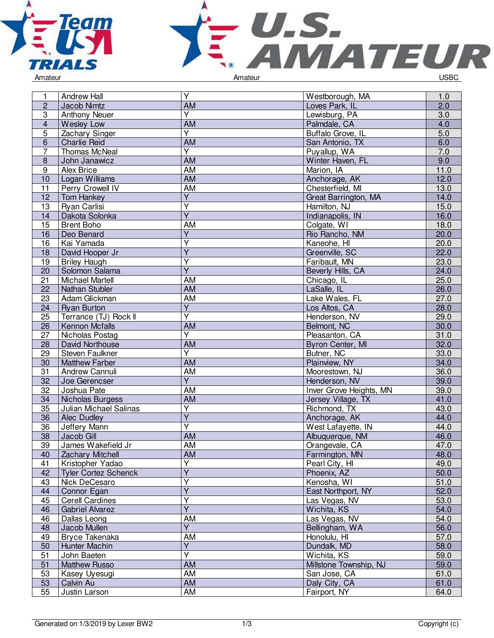



| 1               | <b>Andrew Hall</b>          | $\overline{Y}$          | Westborough, MA         | 1.0  |
|-----------------|-----------------------------|-------------------------|-------------------------|------|
| $\overline{2}$  | Jacob Nimtz                 | <b>AM</b>               | Loves Park, IL          | 2.0  |
| $\overline{3}$  | <b>Anthony Neuer</b>        | $\overline{\mathsf{Y}}$ | Lewisburg, PA           | 3.0  |
| $\overline{4}$  | <b>Wesley Low</b>           | <b>AM</b>               | Palmdale, CA            | 4.0  |
| 5               | Zachary Singer              | $\overline{Y}$          | Buffalo Grove, IL       | 5.0  |
| $6\,$           | <b>Charlie Reid</b>         | <b>AM</b>               | San Antonio, TX         | 6.0  |
| $\overline{7}$  | Thomas McNeal               | $\overline{\mathsf{Y}}$ | Puyallup, WA            | 7.0  |
| 8               | John Janawicz               | AM                      | Winter Haven, FL        | 9.0  |
| 9               | Alex Brice                  | AM                      | Marion, IA              | 11.0 |
| 10              | Logan Williams              | AM                      | Anchorage, AK           | 12.0 |
| 11              | Perry Crowell IV            | AM                      | Chesterfield, MI        | 13.0 |
| $\overline{12}$ | <b>Tom Hankey</b>           | $\overline{Y}$          | Great Barrington, MA    | 14.0 |
| 13              | Ryan Carlisi                | $\overline{\mathsf{Y}}$ | Hamilton, NJ            | 15.0 |
| 14              | Dakota Solonka              | $\overline{Y}$          | Indianapolis, IN        | 16.0 |
| 15              | <b>Brent Boho</b>           | AM                      | Colgate, WI             | 18.0 |
| 16              | Deo Benard                  | $\overline{Y}$          | Rio Rancho, NM          | 20.0 |
| 16              | Kai Yamada                  | Υ                       | Kaneohe, HI             | 20.0 |
| 18              | David Hooper Jr             | $\overline{Y}$          | Greenville, SC          | 22.0 |
| 19              | <b>Briley Haugh</b>         | Υ                       | Faribault, MN           | 23.0 |
| 20              | Solomon Salama              | $\overline{Y}$          | Beverly Hills, CA       | 24.0 |
| 21              | <b>Michael Martell</b>      | AM                      | Chicago, IL             | 25.0 |
| $\overline{22}$ | Nathan Stubler              | <b>AM</b>               | LaSalle, IL             | 26.0 |
| 23              | Adam Glickman               | <b>AM</b>               | Lake Wales, FL          | 27.0 |
|                 |                             | $\overline{Y}$          | Los Altos, CA           | 28.0 |
| 24              | <b>Ryan Burton</b>          | $\overline{\mathsf{Y}}$ |                         |      |
| 25              | Terrance (TJ) Rock II       |                         | Henderson, NV           | 29.0 |
| 26              | Kennon Mcfalls              | AM                      | Belmont, NC             | 30.0 |
| 27              | Nicholas Postag             | $\overline{Y}$          | Pleasanton, CA          | 31.0 |
| 28              | David Northouse             | AM                      | Byron Center, MI        | 32.0 |
| 29              | Steven Faulkner             | Y                       | Butner, NC              | 33.0 |
| 30              | <b>Matthew Farber</b>       | <b>AM</b>               | Plainview, NY           | 34.0 |
| 31              | Andrew Cannuli              | AM                      | Moorestown, NJ          | 36.0 |
| 32              | Joe Gerencser               | $\overline{\mathsf{Y}}$ | Henderson, NV           | 39.0 |
| 32              | Joshua Pate                 | <b>AM</b>               | Inver Grove Heights, MN | 39.0 |
| 34              | Nicholas Burgess            | AM                      | Jersey Village, TX      | 41.0 |
| 35              | Julian Michael Salinas      | $\overline{Y}$          | Richmond, TX            | 43.0 |
| 36              | Alec Dudley                 | $\overline{\mathsf{Y}}$ | Anchorage, AK           | 44.0 |
| 36              | Jeffery Mann                | Ÿ                       | West Lafayette, IN      | 44.0 |
| 38              | Jacob Gill                  | AM                      | Albuquerque, NM         | 46.0 |
| 39              | James Wakefield Jr          | AM                      | Orangevale, CA          | 47.0 |
| 40              | <b>Zachary Mitchell</b>     | <b>AM</b>               | Farmington, MN          | 48.0 |
| 41              | Kristopher Yadao            | Υ                       | Pearl City, HI          | 49.0 |
| 42              | <b>Tyler Cortez Schenck</b> | $\overline{\mathsf{Y}}$ | Phoenix, AZ             | 50.0 |
| 43              | Nick DeCesaro               | $\overline{\mathsf{Y}}$ | Kenosha, WI             | 51.0 |
| 44              | Connor Egan                 | $\overline{\mathsf{Y}}$ | East Northport, NY      | 52.0 |
| 45              | <b>Cerell Cardines</b>      | $\overline{\mathsf{Y}}$ | Las Vegas, NV           | 53.0 |
| 46              | <b>Gabriel Alvarez</b>      | $\overline{\mathsf{Y}}$ | Wichita, KS             | 54.0 |
| 46              | Dallas Leong                | AM                      | Las Vegas, NV           | 54.0 |
| 48              | Jacob Mullen                | Ÿ                       | Bellingham, WA          | 56.0 |
| 49              | Bryce Takenaka              | AM                      | Honolulu, HI            | 57.0 |
| 50              | Hunter Machin               | $\overline{Y}$          | Dundalk, MD             | 58.0 |
| 51              | John Baeten                 | $\overline{\mathsf{Y}}$ | Wichita, KS             | 59.0 |
| 51              | <b>Matthew Russo</b>        | <b>AM</b>               | Millstone Township, NJ  | 59.0 |
| 53              | Kasey Uyesugi               | <b>AM</b>               | San Jose, CA            | 61.0 |
| 53              | Calvin Au                   | <b>AM</b>               | Daly City, CA           | 61.0 |
| 55              | Justin Larson               | AM                      | Fairport, NY            | 64.0 |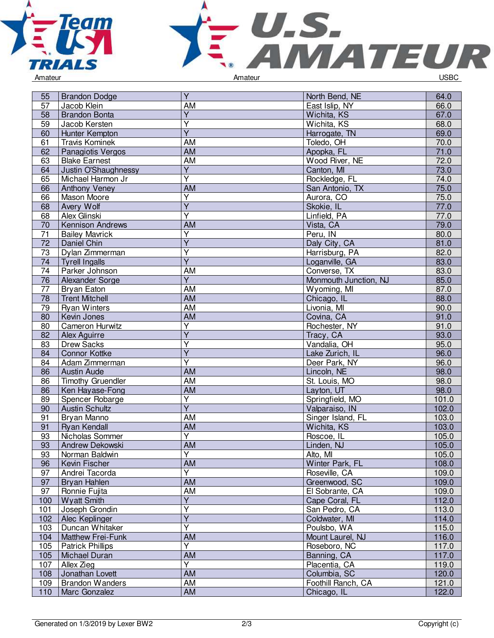



| 55               | <b>Brandon Dodge</b>    | Y                       | North Bend, NE        | 64.0           |
|------------------|-------------------------|-------------------------|-----------------------|----------------|
| 57               | Jacob Klein             | AM                      | East Islip, NY        | 66.0           |
| 58               | <b>Brandon Bonta</b>    | Ÿ                       | Wichita, KS           | 67.0           |
| 59               | Jacob Kersten           | Y                       | Wichita, KS           | 68.0           |
| 60               | Hunter Kempton          | Υ                       | Harrogate, TN         | 69.0           |
| 61               | <b>Travis Kominek</b>   | AM                      | Toledo, OH            | 70.0           |
| 62               | Panagiotis Vergos       | AM                      | Apopka, FL            | 71.0           |
| 63               | <b>Blake Earnest</b>    | <b>AM</b>               | Wood River, NE        | 72.0           |
| 64               | Justin O'Shaughnessy    | $\overline{Y}$          | Canton, MI            | 73.0           |
| 65               | Michael Harmon Jr       | Y                       | Rockledge, FL         | 74.0           |
| 66               | Anthony Veney           | AM                      | San Antonio, TX       | 75.0           |
| 66               | Mason Moore             | $\overline{Y}$          | Aurora, CO            | 75.0           |
| 68               | Avery Wolf              | Ÿ                       | Skokie, IL            | 77.0           |
| 68               | Alex Glinski            | Ý                       | Linfield, PA          | 77.0           |
| 70               | Kennison Andrews        | <b>AM</b>               | Vista, CA             | 79.0           |
| 71               | <b>Bailey Mavrick</b>   | Y                       | Peru, IN              | 80.0           |
| 72               | Daniel Chin             | $\overline{Y}$          | Daly City, CA         | 81.0           |
| $\overline{73}$  | Dylan Zimmerman         | Ÿ                       | Harrisburg, PA        | 82.0           |
| 74               | <b>Tyrell Ingalls</b>   | $\overline{\mathsf{Y}}$ | Loganville, GA        | 83.0           |
| 74               | Parker Johnson          | AM                      | Converse, TX          | 83.0           |
| 76               | Alexander Sorge         | $\overline{Y}$          | Monmouth Junction, NJ | 85.0           |
| 77               | <b>Bryan Eaton</b>      | AM                      | Wyoming, MI           | 87.0           |
| $\overline{78}$  | <b>Trent Mitchell</b>   | <b>AM</b>               | Chicago, IL           | 88.0           |
| 79               | <b>Ryan Winters</b>     | AM                      | Livonia, MI           | 90.0           |
| 80               | Kevin Jones             | <b>AM</b>               | Covina, CA            | 91.0           |
| 80               | Cameron Hurwitz         | Υ                       | Rochester, NY         | 91.0           |
| 82               | Alex Aguirre            | $\overline{Y}$          | Tracy, CA             | 93.0           |
| 83               | <b>Drew Sacks</b>       | Υ                       | Vandalia, OH          | 95.0           |
| 84               | <b>Connor Kottke</b>    | $\overline{Y}$          | Lake Zurich, IL       | 96.0           |
| 84               | Adam Zimmerman          | Y                       | Deer Park, NY         | 96.0           |
| 86               | <b>Austin Aude</b>      | <b>AM</b>               | Lincoln, NE           | 98.0           |
| 86               | Timothy Gruendler       | AM                      | St. Louis, MO         | 98.0           |
| 86               | Ken Hayase-Fong         | AM                      | Layton, UT            | 98.0           |
| 89               | Spencer Robarge         | Υ                       | Springfield, MO       | 101.0          |
| 90               | <b>Austin Schultz</b>   | $\overline{Y}$          | Valparaiso, IN        | 102.0          |
| 91               | Bryan Manno             | AM                      | Singer Island, FL     | 103.0          |
| 91               | <b>Ryan Kendall</b>     | AM                      | Wichita, KS           | 103.0          |
| 93               | Nicholas Sommer         | $\overline{\mathsf{Y}}$ | Roscoe, IL            | 105.0          |
| 93               | Andrew Dekowski         | AM                      | Linden, NJ            | 105.0          |
| 93               | Norman Baldwin          | $\overline{Y}$          | Alto, MI              | 105.0          |
| 96               | Kevin Fischer           | AM                      | Winter Park, FL       | 108.0          |
| 97               | Andrei Tacorda          | Ÿ                       | Roseville, CA         | 109.0          |
| 97               | Bryan Hahlen            | AM                      | Greenwood, SC         | 109.0          |
| 97               | Ronnie Fujita           | AM                      | El Sobrante, CA       | 109.0          |
| 100 <sub>1</sub> | <b>Wyatt Smith</b>      | Υ                       | Cape Coral, FL        | 112.0          |
| 101              | Joseph Grondin          | Ÿ                       | San Pedro, CA         | 113.0          |
| 102              | Alec Keplinger          | $\overline{Y}$          | Coldwater, MI         | 114.0          |
| 103              | Duncan Whitaker         | $\overline{\mathsf{Y}}$ | Poulsbo, WA           | 115.0          |
| 104              | Matthew Frei-Funk       | AM                      | Mount Laurel, NJ      | 116.0          |
| 105              |                         | Y                       | Roseboro, NC          |                |
|                  | <b>Patrick Phillips</b> | <b>AM</b>               |                       | 117.0<br>117.0 |
| 105              | Michael Duran           | Y                       | Banning, CA           |                |
| 107              | Allex Zieg              |                         | Placentia, CA         | 119.0          |
| 108              | Jonathan Lovett         | AM<br>AM                | Columbia, SC          | 120.0          |
| 109              | <b>Brandon Wanders</b>  |                         | Foothill Ranch, CA    | 121.0          |
| 110              | Marc Gonzalez           | AM                      | Chicago, IL           | 122.0          |